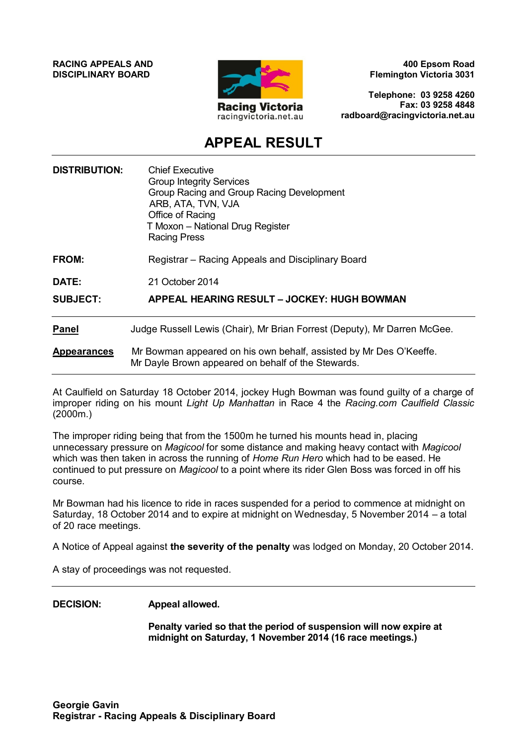**RACING APPEALS AND DISCIPLINARY BOARD**



**400 Epsom Road Flemington Victoria 3031**

**Telephone: 03 9258 4260 Fax: 03 9258 4848 radboard@racingvictoria.net.au**

# **APPEAL RESULT**

| <b>DISTRIBUTION:</b> | <b>Chief Executive</b><br><b>Group Integrity Services</b><br>Group Racing and Group Racing Development<br>ARB, ATA, TVN, VJA<br>Office of Racing<br>T Moxon - National Drug Register<br><b>Racing Press</b> |
|----------------------|-------------------------------------------------------------------------------------------------------------------------------------------------------------------------------------------------------------|
| FROM:                | Registrar – Racing Appeals and Disciplinary Board                                                                                                                                                           |
| <b>DATE:</b>         | 21 October 2014                                                                                                                                                                                             |
| <b>SUBJECT:</b>      | APPEAL HEARING RESULT - JOCKEY: HUGH BOWMAN                                                                                                                                                                 |
| <b>Panel</b>         | Judge Russell Lewis (Chair), Mr Brian Forrest (Deputy), Mr Darren McGee.                                                                                                                                    |
| <b>Appearances</b>   | Mr Bowman appeared on his own behalf, assisted by Mr Des O'Keeffe.<br>Mr Dayle Brown appeared on behalf of the Stewards.                                                                                    |

At Caulfield on Saturday 18 October 2014, jockey Hugh Bowman was found guilty of a charge of improper riding on his mount *Light Up Manhattan* in Race 4 the *Racing.com Caulfield Classic* (2000m.)

The improper riding being that from the 1500m he turned his mounts head in, placing unnecessary pressure on *Magicool* for some distance and making heavy contact with *Magicool*  which was then taken in across the running of *Home Run Hero* which had to be eased. He continued to put pressure on *Magicool* to a point where its rider Glen Boss was forced in off his course.

Mr Bowman had his licence to ride in races suspended for a period to commence at midnight on Saturday, 18 October 2014 and to expire at midnight on Wednesday, 5 November 2014 – a total of 20 race meetings.

A Notice of Appeal against **the severity of the penalty** was lodged on Monday, 20 October 2014.

A stay of proceedings was not requested.

### **DECISION: Appeal allowed.**

**Penalty varied so that the period of suspension will now expire at midnight on Saturday, 1 November 2014 (16 race meetings.)**